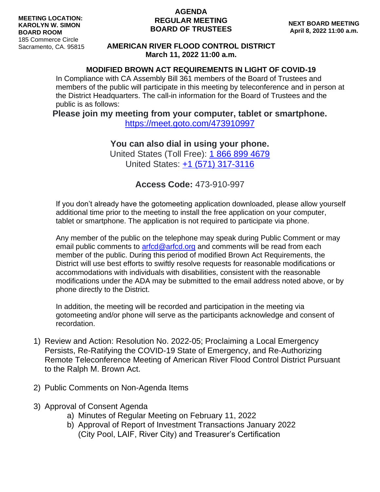## **AGENDA REGULAR MEETING BOARD OF TRUSTEES**

## **AMERICAN RIVER FLOOD CONTROL DISTRICT March 11, 2022 11:00 a.m.**

## **MODIFIED BROWN ACT REQUIREMENTS IN LIGHT OF COVID-19**

In Compliance with CA Assembly Bill 361 members of the Board of Trustees and members of the public will participate in this meeting by teleconference and in person at the District Headquarters. The call-in information for the Board of Trustees and the public is as follows:

**Please join my meeting from your computer, tablet or smartphone.**

<https://meet.goto.com/473910997>

**You can also dial in using your phone.** United States (Toll Free): [1 866 899 4679](tel:+18668994679,,473910997) United States: [+1 \(571\) 317-3116](tel:+15713173116,,473910997)

**Access Code:** 473-910-997

If you don't already have the gotomeeting application downloaded, please allow yourself additional time prior to the meeting to install the free application on your computer, tablet or smartphone. The application is not required to participate via phone.

Any member of the public on the telephone may speak during Public Comment or may email public comments to [arfcd@arfcd.org](mailto:arfcd@arfcd.org) and comments will be read from each member of the public. During this period of modified Brown Act Requirements, the District will use best efforts to swiftly resolve requests for reasonable modifications or accommodations with individuals with disabilities, consistent with the reasonable modifications under the ADA may be submitted to the email address noted above, or by phone directly to the District.

In addition, the meeting will be recorded and participation in the meeting via gotomeeting and/or phone will serve as the participants acknowledge and consent of recordation.

- 1) Review and Action: Resolution No. 2022-05; Proclaiming a Local Emergency Persists, Re-Ratifying the COVID-19 State of Emergency, and Re-Authorizing Remote Teleconference Meeting of American River Flood Control District Pursuant to the Ralph M. Brown Act.
- 2) Public Comments on Non-Agenda Items
- 3) Approval of Consent Agenda
	- a) Minutes of Regular Meeting on February 11, 2022
	- b) Approval of Report of Investment Transactions January 2022 (City Pool, LAIF, River City) and Treasurer's Certification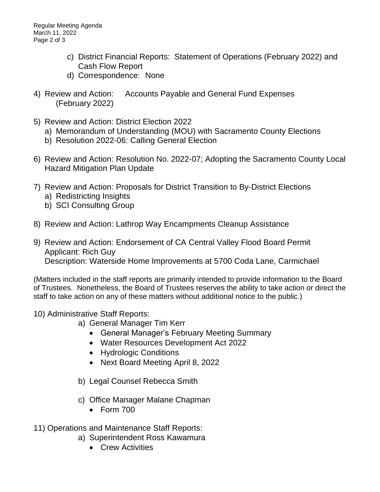- c) District Financial Reports: Statement of Operations (February 2022) and Cash Flow Report
- d) Correspondence: None
- 4) Review and Action: Accounts Payable and General Fund Expenses (February 2022)
- 5) Review and Action: District Election 2022
	- a) Memorandum of Understanding (MOU) with Sacramento County Elections
	- b) Resolution 2022-06: Calling General Election
- 6) Review and Action: Resolution No. 2022-07; Adopting the Sacramento County Local Hazard Mitigation Plan Update
- 7) Review and Action: Proposals for District Transition to By-District Elections
	- a) Redistricting Insights
	- b) SCI Consulting Group
- 8) Review and Action: Lathrop Way Encampments Cleanup Assistance
- 9) Review and Action: Endorsement of CA Central Valley Flood Board Permit Applicant: Rich Guy Description: Waterside Home Improvements at 5700 Coda Lane, Carmichael

(Matters included in the staff reports are primarily intended to provide information to the Board of Trustees. Nonetheless, the Board of Trustees reserves the ability to take action or direct the staff to take action on any of these matters without additional notice to the public.)

- 10) Administrative Staff Reports:
	- a) General Manager Tim Kerr
		- General Manager's February Meeting Summary
		- Water Resources Development Act 2022
		- Hydrologic Conditions
		- Next Board Meeting April 8, 2022
	- b) Legal Counsel Rebecca Smith
	- c) Office Manager Malane Chapman
		- Form 700
- 11) Operations and Maintenance Staff Reports:
	- a) Superintendent Ross Kawamura
		- Crew Activities